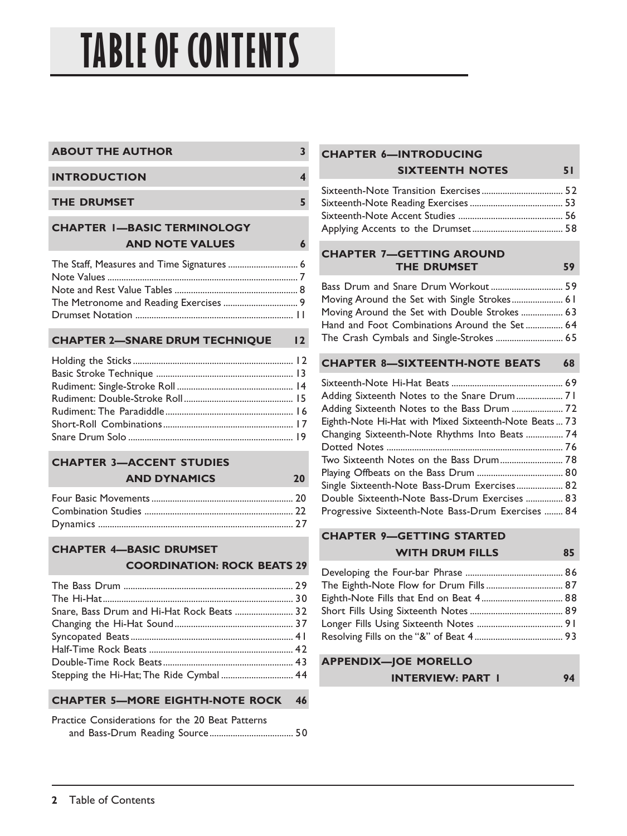# **TABLE OF CONTENTS**

| <b>ABOUT THE AUTHOR</b> |  |
|-------------------------|--|
|                         |  |
| <b>INTRODUCTION</b>     |  |
|                         |  |
| <b>THE DRUMSET</b>      |  |

### **CHAPTER 1—BASIC TERMINOLOGY AND NOTE VALUES 6**

#### **CHAPTER 2—SNARE DRUM TECHNIQUE 12**

#### **CHAPTER 3—ACCENT STUDIES AND DYNAMICS 20**

# **CHAPTER 4—BASIC DRUMSET**

#### **COORDINATION: ROCK BEATS 29**

| Snare, Bass Drum and Hi-Hat Rock Beats  32 |  |
|--------------------------------------------|--|
|                                            |  |
|                                            |  |
|                                            |  |
|                                            |  |
|                                            |  |

**CHAPTER 5—MORE EIGHTH-NOTE ROCK 46**

| Practice Considerations for the 20 Beat Patterns |  |  |  |
|--------------------------------------------------|--|--|--|
|                                                  |  |  |  |

#### **CHAPTER 6—INTRODUCING SIXTEENTH NOTES 51**

#### **CHAPTER 7—GETTING AROUND THE DRUMSET 59**

| Moving Around the Set with Single Strokes 61  |  |
|-----------------------------------------------|--|
| Moving Around the Set with Double Strokes  63 |  |
| Hand and Foot Combinations Around the Set 64  |  |
| The Crash Cymbals and Single-Strokes  65      |  |

#### **CHAPTER 8—SIXTEENTH-NOTE BEATS 68**

| Adding Sixteenth Notes to the Snare Drum 71           |
|-------------------------------------------------------|
| Adding Sixteenth Notes to the Bass Drum  72           |
| Eighth-Note Hi-Hat with Mixed Sixteenth-Note Beats 73 |
| Changing Sixteenth-Note Rhythms Into Beats  74        |
|                                                       |
|                                                       |
|                                                       |
| Single Sixteenth-Note Bass-Drum Exercises 82          |
| Double Sixteenth-Note Bass-Drum Exercises  83         |
| Progressive Sixteenth-Note Bass-Drum Exercises  84    |
|                                                       |

#### **CHAPTER 9—GETTING STARTED WITH DRUM FILLS 85**

| The Eighth-Note Flow for Drum Fills 87 |  |
|----------------------------------------|--|
|                                        |  |
|                                        |  |
|                                        |  |
|                                        |  |

#### **APPENDIX—JOE MORELLO INTERVIEW: PART 1** 94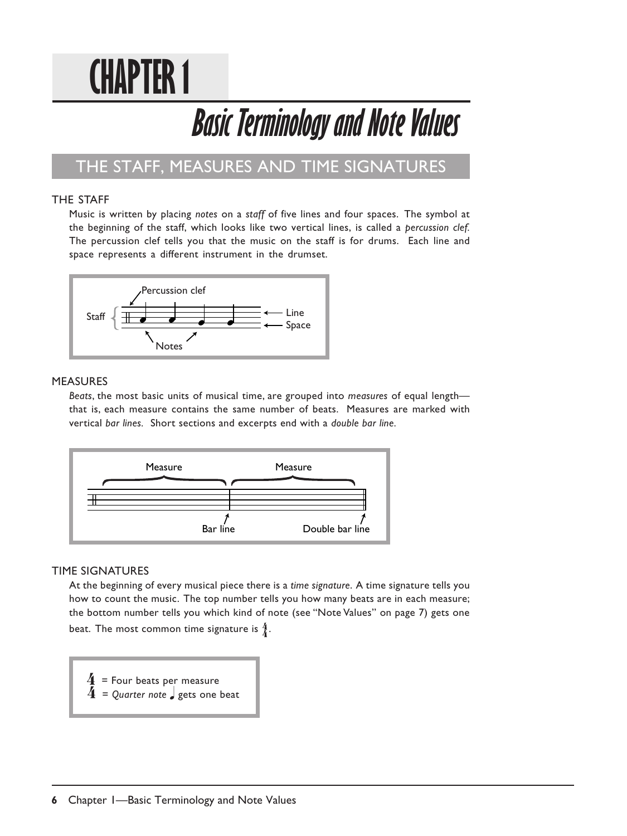# **CHAPTER 1**

# **Basic Terminology and Note Values**

### THE STAFF, MEASURES AND TIME SIGNATURES

#### THE STAFF

Music is written by placing *notes* on a *staff* of five lines and four spaces. The symbol at the beginning of the staff, which looks like two vertical lines, is called a *percussion clef.* The percussion clef tells you that the music on the staff is for drums. Each line and space represents a different instrument in the drumset.



#### MEASURES

*Beats*, the most basic units of musical time, are grouped into *measures* of equal length that is, each measure contains the same number of beats. Measures are marked with vertical *bar lines.* Short sections and excerpts end with a *double bar line.*



#### TIME SIGNATURES

At the beginning of every musical piece there is a *time signature*. A time signature tells you how to count the music. The top number tells you how many beats are in each measure; the bottom number tells you which kind of note (see "Note Values" on page 7) gets one beat. The most common time signature is  $\frac{4}{6}$ .



 $\overline{4}$  = Quarter note  $\overline{)}$  gets one beat